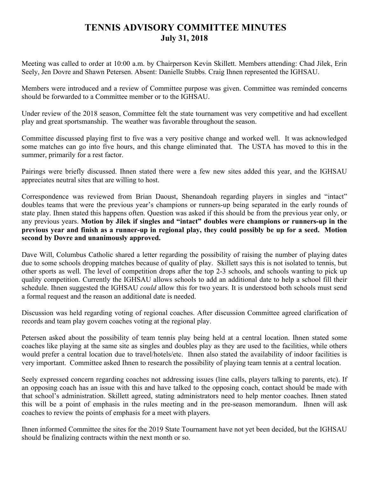## **TENNIS ADVISORY COMMITTEE MINUTES July 31, 2018**

Meeting was called to order at 10:00 a.m. by Chairperson Kevin Skillett. Members attending: Chad Jilek, Erin Seely, Jen Dovre and Shawn Petersen. Absent: Danielle Stubbs. Craig Ihnen represented the IGHSAU.

Members were introduced and a review of Committee purpose was given. Committee was reminded concerns should be forwarded to a Committee member or to the IGHSAU.

Under review of the 2018 season, Committee felt the state tournament was very competitive and had excellent play and great sportsmanship. The weather was favorable throughout the season.

Committee discussed playing first to five was a very positive change and worked well. It was acknowledged some matches can go into five hours, and this change eliminated that. The USTA has moved to this in the summer, primarily for a rest factor.

Pairings were briefly discussed. Ihnen stated there were a few new sites added this year, and the IGHSAU appreciates neutral sites that are willing to host.

Correspondence was reviewed from Brian Daoust, Shenandoah regarding players in singles and "intact" doubles teams that were the previous year's champions or runners-up being separated in the early rounds of state play. Ihnen stated this happens often. Question was asked if this should be from the previous year only, or any previous years. **Motion by Jilek if singles and "intact" doubles were champions or runners-up in the previous year and finish as a runner-up in regional play, they could possibly be up for a seed. Motion second by Dovre and unanimously approved.**

Dave Will, Columbus Catholic shared a letter regarding the possibility of raising the number of playing dates due to some schools dropping matches because of quality of play. Skillett says this is not isolated to tennis, but other sports as well. The level of competition drops after the top 2-3 schools, and schools wanting to pick up quality competition. Currently the IGHSAU allows schools to add an additional date to help a school fill their schedule. Ihnen suggested the IGHSAU *could* allow this for two years. It is understood both schools must send a formal request and the reason an additional date is needed.

Discussion was held regarding voting of regional coaches. After discussion Committee agreed clarification of records and team play govern coaches voting at the regional play.

Petersen asked about the possibility of team tennis play being held at a central location. Ihnen stated some coaches like playing at the same site as singles and doubles play as they are used to the facilities, while others would prefer a central location due to travel/hotels/etc. Ihnen also stated the availability of indoor facilities is very important. Committee asked Ihnen to research the possibility of playing team tennis at a central location.

Seely expressed concern regarding coaches not addressing issues (line calls, players talking to parents, etc). If an opposing coach has an issue with this and have talked to the opposing coach, contact should be made with that school's administration. Skillett agreed, stating administrators need to help mentor coaches. Ihnen stated this will be a point of emphasis in the rules meeting and in the pre-season memorandum. Ihnen will ask coaches to review the points of emphasis for a meet with players.

Ihnen informed Committee the sites for the 2019 State Tournament have not yet been decided, but the IGHSAU should be finalizing contracts within the next month or so.